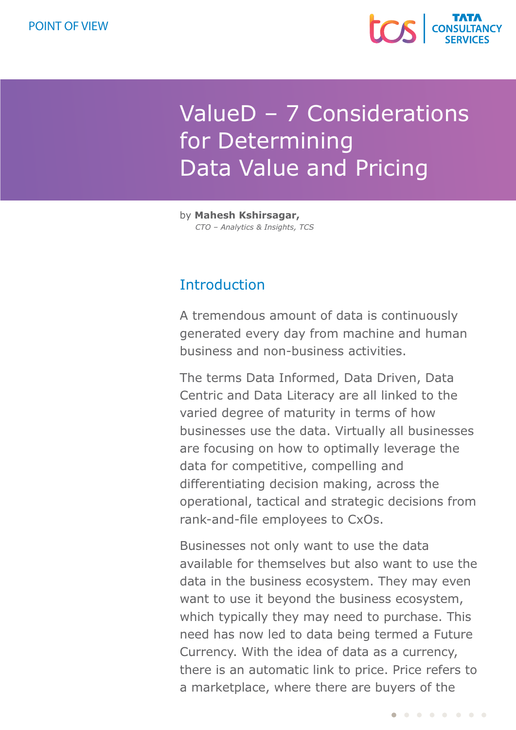

# ValueD – 7 Considerations for Determining Data Value and Pricing

by **Mahesh Kshirsagar,**  *CTO – Analytics & Insights, TCS*

# **Introduction**

A tremendous amount of data is continuously generated every day from machine and human business and non-business activities.

The terms Data Informed, Data Driven, Data Centric and Data Literacy are all linked to the varied degree of maturity in terms of how businesses use the data. Virtually all businesses are focusing on how to optimally leverage the data for competitive, compelling and differentiating decision making, across the operational, tactical and strategic decisions from rank-and-file employees to CxOs.

Businesses not only want to use the data available for themselves but also want to use the data in the business ecosystem. They may even want to use it beyond the business ecosystem, which typically they may need to purchase. This need has now led to data being termed a Future Currency. With the idea of data as a currency, there is an automatic link to price. Price refers to a marketplace, where there are buyers of the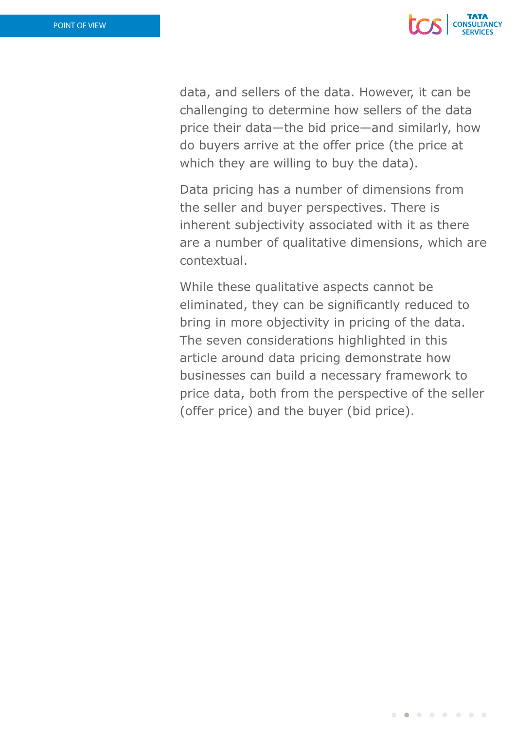

data, and sellers of the data. However, it can be challenging to determine how sellers of the data price their data—the bid price—and similarly, how do buyers arrive at the offer price (the price at which they are willing to buy the data).

Data pricing has a number of dimensions from the seller and buyer perspectives. There is inherent subjectivity associated with it as there are a number of qualitative dimensions, which are contextual.

While these qualitative aspects cannot be eliminated, they can be significantly reduced to bring in more objectivity in pricing of the data. The seven considerations highlighted in this article around data pricing demonstrate how businesses can build a necessary framework to price data, both from the perspective of the seller (offer price) and the buyer (bid price).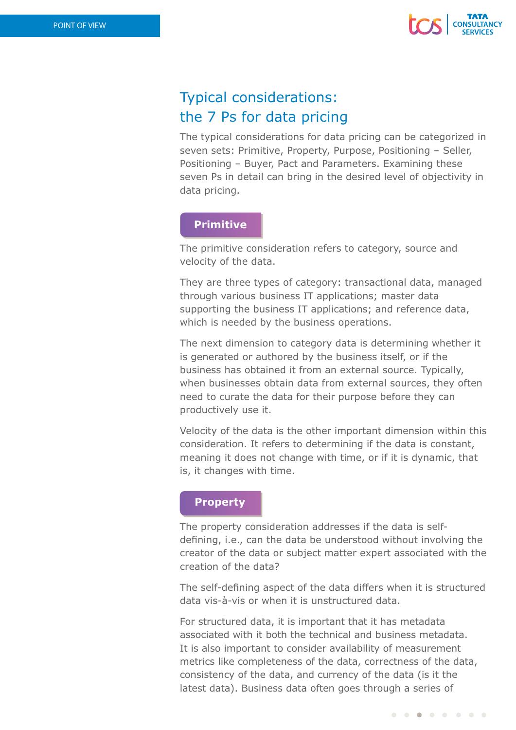

# Typical considerations: the 7 Ps for data pricing

The typical considerations for data pricing can be categorized in seven sets: Primitive, Property, Purpose, Positioning – Seller, Positioning – Buyer, Pact and Parameters. Examining these seven Ps in detail can bring in the desired level of objectivity in data pricing.

## **Primitive**

The primitive consideration refers to category, source and velocity of the data.

They are three types of category: transactional data, managed through various business IT applications; master data supporting the business IT applications; and reference data, which is needed by the business operations.

The next dimension to category data is determining whether it is generated or authored by the business itself, or if the business has obtained it from an external source. Typically, when businesses obtain data from external sources, they often need to curate the data for their purpose before they can productively use it.

Velocity of the data is the other important dimension within this consideration. It refers to determining if the data is constant, meaning it does not change with time, or if it is dynamic, that is, it changes with time.

### **Property**

The property consideration addresses if the data is selfdefining, i.e., can the data be understood without involving the creator of the data or subject matter expert associated with the creation of the data?

The self-defining aspect of the data differs when it is structured data vis-à-vis or when it is unstructured data.

For structured data, it is important that it has metadata associated with it both the technical and business metadata. It is also important to consider availability of measurement metrics like completeness of the data, correctness of the data, consistency of the data, and currency of the data (is it the latest data). Business data often goes through a series of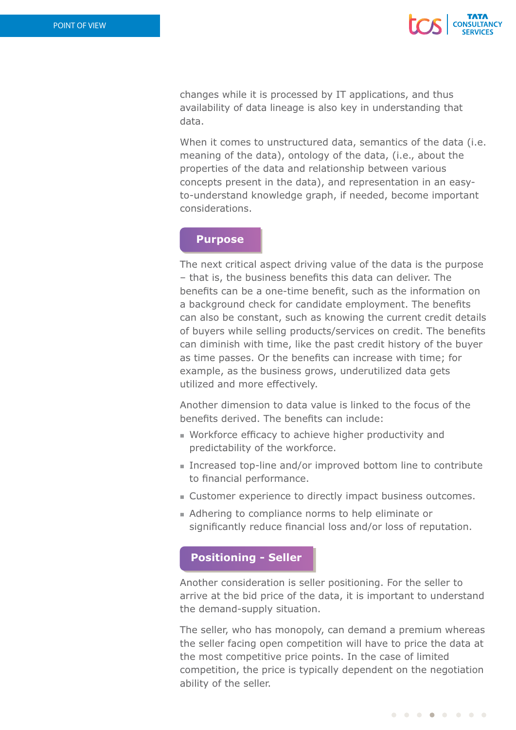

changes while it is processed by IT applications, and thus availability of data lineage is also key in understanding that data.

When it comes to unstructured data, semantics of the data (i.e. meaning of the data), ontology of the data, (i.e., about the properties of the data and relationship between various concepts present in the data), and representation in an easyto-understand knowledge graph, if needed, become important considerations.

#### **Purpose**

The next critical aspect driving value of the data is the purpose – that is, the business benefits this data can deliver. The benefits can be a one-time benefit, such as the information on a background check for candidate employment. The benefits can also be constant, such as knowing the current credit details of buyers while selling products/services on credit. The benefits can diminish with time, like the past credit history of the buyer as time passes. Or the benefits can increase with time; for example, as the business grows, underutilized data gets utilized and more effectively.

Another dimension to data value is linked to the focus of the benefits derived. The benefits can include:

- $\blacksquare$  Workforce efficacy to achieve higher productivity and predictability of the workforce.
- Increased top-line and/or improved bottom line to contribute to financial performance.
- Customer experience to directly impact business outcomes.
- <sup>n</sup> Adhering to compliance norms to help eliminate or significantly reduce financial loss and/or loss of reputation.

#### **Positioning - Seller**

Another consideration is seller positioning. For the seller to arrive at the bid price of the data, it is important to understand the demand-supply situation.

The seller, who has monopoly, can demand a premium whereas the seller facing open competition will have to price the data at the most competitive price points. In the case of limited competition, the price is typically dependent on the negotiation ability of the seller.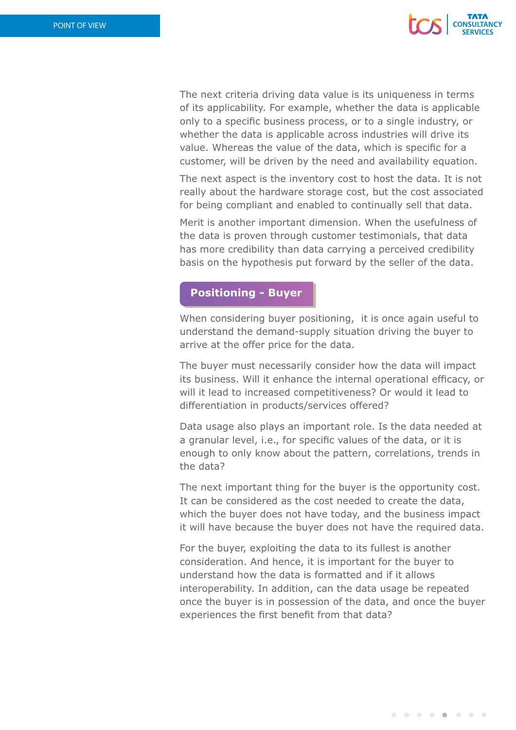

The next criteria driving data value is its uniqueness in terms of its applicability. For example, whether the data is applicable only to a specific business process, or to a single industry, or whether the data is applicable across industries will drive its value. Whereas the value of the data, which is specific for a customer, will be driven by the need and availability equation.

The next aspect is the inventory cost to host the data. It is not really about the hardware storage cost, but the cost associated for being compliant and enabled to continually sell that data.

Merit is another important dimension. When the usefulness of the data is proven through customer testimonials, that data has more credibility than data carrying a perceived credibility basis on the hypothesis put forward by the seller of the data.

#### **Positioning - Buyer**

When considering buyer positioning, it is once again useful to understand the demand-supply situation driving the buyer to arrive at the offer price for the data.

The buyer must necessarily consider how the data will impact its business. Will it enhance the internal operational efficacy, or will it lead to increased competitiveness? Or would it lead to differentiation in products/services offered?

Data usage also plays an important role. Is the data needed at a granular level, i.e., for specific values of the data, or it is enough to only know about the pattern, correlations, trends in the data?

The next important thing for the buyer is the opportunity cost. It can be considered as the cost needed to create the data, which the buyer does not have today, and the business impact it will have because the buyer does not have the required data.

For the buyer, exploiting the data to its fullest is another consideration. And hence, it is important for the buyer to understand how the data is formatted and if it allows interoperability. In addition, can the data usage be repeated once the buyer is in possession of the data, and once the buyer experiences the first benefit from that data?

. . . . . . . .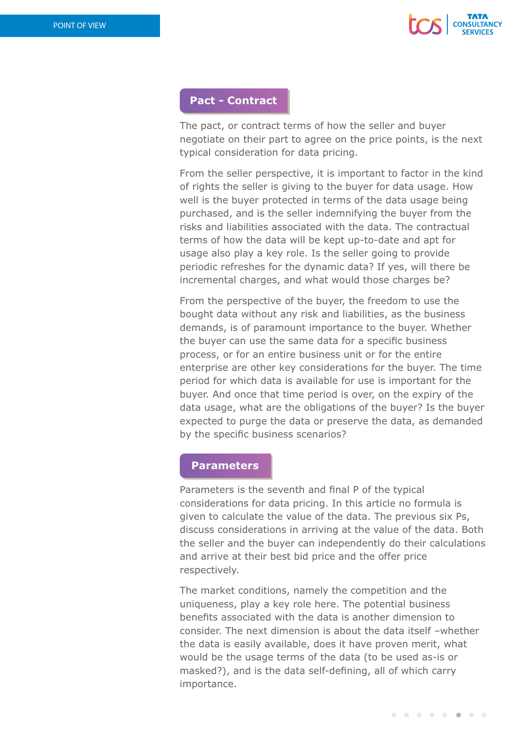

## **Pact - Contract**

The pact, or contract terms of how the seller and buyer negotiate on their part to agree on the price points, is the next typical consideration for data pricing.

From the seller perspective, it is important to factor in the kind of rights the seller is giving to the buyer for data usage. How well is the buyer protected in terms of the data usage being purchased, and is the seller indemnifying the buyer from the risks and liabilities associated with the data. The contractual terms of how the data will be kept up-to-date and apt for usage also play a key role. Is the seller going to provide periodic refreshes for the dynamic data? If yes, will there be incremental charges, and what would those charges be?

From the perspective of the buyer, the freedom to use the bought data without any risk and liabilities, as the business demands, is of paramount importance to the buyer. Whether the buyer can use the same data for a specific business process, or for an entire business unit or for the entire enterprise are other key considerations for the buyer. The time period for which data is available for use is important for the buyer. And once that time period is over, on the expiry of the data usage, what are the obligations of the buyer? Is the buyer expected to purge the data or preserve the data, as demanded by the specific business scenarios?

## **Parameters**

Parameters is the seventh and final P of the typical considerations for data pricing. In this article no formula is given to calculate the value of the data. The previous six Ps, discuss considerations in arriving at the value of the data. Both the seller and the buyer can independently do their calculations and arrive at their best bid price and the offer price respectively.

The market conditions, namely the competition and the uniqueness, play a key role here. The potential business benefits associated with the data is another dimension to consider. The next dimension is about the data itself –whether the data is easily available, does it have proven merit, what would be the usage terms of the data (to be used as-is or masked?), and is the data self-defining, all of which carry importance.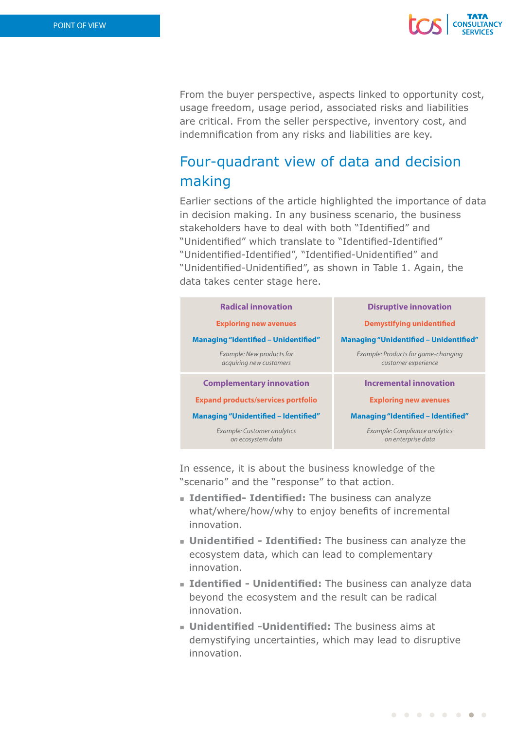

From the buyer perspective, aspects linked to opportunity cost, usage freedom, usage period, associated risks and liabilities are critical. From the seller perspective, inventory cost, and indemnification from any risks and liabilities are key.

# Four-quadrant view of data and decision making

Earlier sections of the article highlighted the importance of data in decision making. In any business scenario, the business stakeholders have to deal with both "Identified" and "Unidentified" which translate to "Identified-Identified" "Unidentified-Identified", "Identified-Unidentified" and "Unidentified-Unidentified", as shown in Table 1. Again, the data takes center stage here.

| <b>Radical innovation</b>                            | <b>Disruptive innovation</b>                               |
|------------------------------------------------------|------------------------------------------------------------|
| <b>Exploring new avenues</b>                         | <b>Demystifying unidentified</b>                           |
| <b>Managing "Identified - Unidentified"</b>          | <b>Managing "Unidentified - Unidentified"</b>              |
| Example: New products for<br>acquiring new customers | Example: Products for game-changing<br>customer experience |
| <b>Complementary innovation</b>                      | <b>Incremental innovation</b>                              |
| <b>Expand products/services portfolio</b>            | <b>Exploring new avenues</b>                               |
| <b>Managing "Unidentified - Identified"</b>          | <b>Managing "Identified - Identified"</b>                  |
| Example: Customer analytics<br>on ecosystem data     | Example: Compliance analytics<br>on enterprise data        |

In essence, it is about the business knowledge of the "scenario" and the "response" to that action.

- **Identified- Identified:** The business can analyze what/where/how/why to enjoy benefits of incremental innovation.
- **Julian Unidentified Identified:** The business can analyze the ecosystem data, which can lead to complementary innovation.
- **Identified Unidentified:** The business can analyze data beyond the ecosystem and the result can be radical innovation.
- **u** Unidentified -Unidentified: The business aims at demystifying uncertainties, which may lead to disruptive innovation.